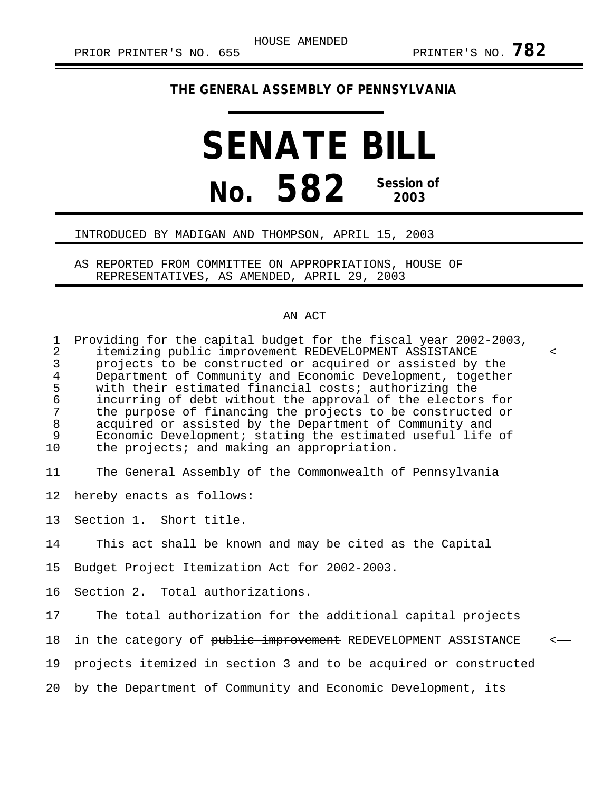## **THE GENERAL ASSEMBLY OF PENNSYLVANIA**

## **SENATE BILL No. 582 Session of 2003**

## INTRODUCED BY MADIGAN AND THOMPSON, APRIL 15, 2003

AS REPORTED FROM COMMITTEE ON APPROPRIATIONS, HOUSE OF REPRESENTATIVES, AS AMENDED, APRIL 29, 2003

## AN ACT

1 Providing for the capital budget for the fiscal year 2002-2003,<br>2 itemizing <del>public improvement</del> REDEVELOPMENT ASSISTANCE 2 itemizing <del>public improvement</del> REDEVELOPMENT ASSISTANCE<br>3 projects to be constructed or acquired or assisted by 3 projects to be constructed or acquired or assisted by the<br>4 Department of Community and Economic Development, together 4 Department of Community and Economic Development, together<br>5 with their estimated financial costs; authorizing the 5 with their estimated financial costs; authorizing the<br>6 incurring of debt without the approval of the elector 6 incurring of debt without the approval of the electors for 7 the purpose of financing the projects to be constructed or<br>8 acquired or assisted by the Department of Community and 8 acquired or assisted by the Department of Community and<br>9 Economic Development; stating the estimated useful life 9 Economic Development; stating the estimated useful life of<br>10 the projects; and making an appropriation. the projects; and making an appropriation.

11 The General Assembly of the Commonwealth of Pennsylvania

12 hereby enacts as follows:

13 Section 1. Short title.

14 This act shall be known and may be cited as the Capital

15 Budget Project Itemization Act for 2002-2003.

16 Section 2. Total authorizations.

17 The total authorization for the additional capital projects 18 in the category of public improvement REDEVELOPMENT ASSISTANCE 19 projects itemized in section 3 and to be acquired or constructed 20 by the Department of Community and Economic Development, its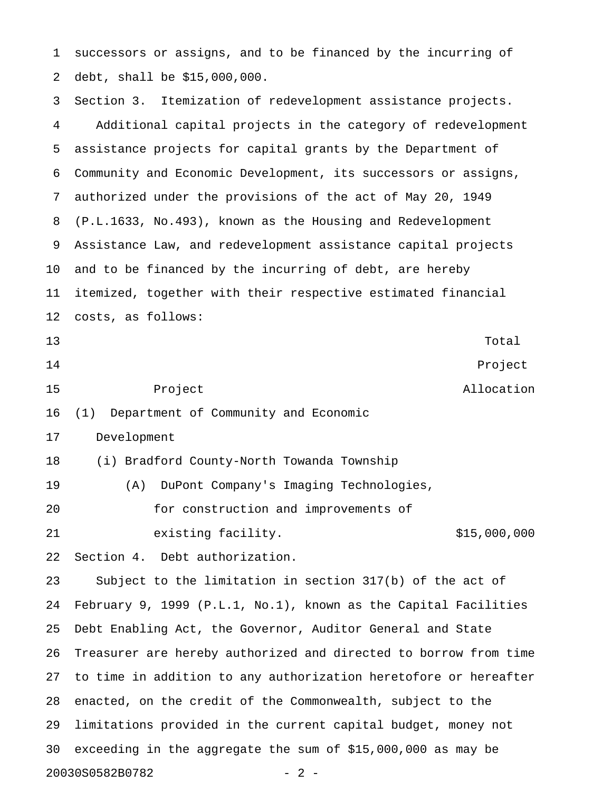1 successors or assigns, and to be financed by the incurring of 2 debt, shall be \$15,000,000.

3 Section 3. Itemization of redevelopment assistance projects. 4 Additional capital projects in the category of redevelopment 5 assistance projects for capital grants by the Department of 6 Community and Economic Development, its successors or assigns, 7 authorized under the provisions of the act of May 20, 1949 8 (P.L.1633, No.493), known as the Housing and Redevelopment 9 Assistance Law, and redevelopment assistance capital projects 10 and to be financed by the incurring of debt, are hereby 11 itemized, together with their respective estimated financial 12 costs, as follows: 13 Total Total Research 13 Total Research 13 Total Research 13 Total Research 13 Total Research 13 Total Research 13 Total Research 13 Total Research 13 Total Research 13 Total Research 13 Total Research 13 Total Research 14 Project 15 Project Allocation 16 (1) Department of Community and Economic 17 Development 18 (i) Bradford County-North Towanda Township 19 (A) DuPont Company's Imaging Technologies, 20 for construction and improvements of 21 existing facility.  $$15,000,000$ 22 Section 4. Debt authorization. 23 Subject to the limitation in section 317(b) of the act of 24 February 9, 1999 (P.L.1, No.1), known as the Capital Facilities 25 Debt Enabling Act, the Governor, Auditor General and State 26 Treasurer are hereby authorized and directed to borrow from time 27 to time in addition to any authorization heretofore or hereafter 28 enacted, on the credit of the Commonwealth, subject to the 29 limitations provided in the current capital budget, money not 30 exceeding in the aggregate the sum of \$15,000,000 as may be 20030S0582B0782 - 2 -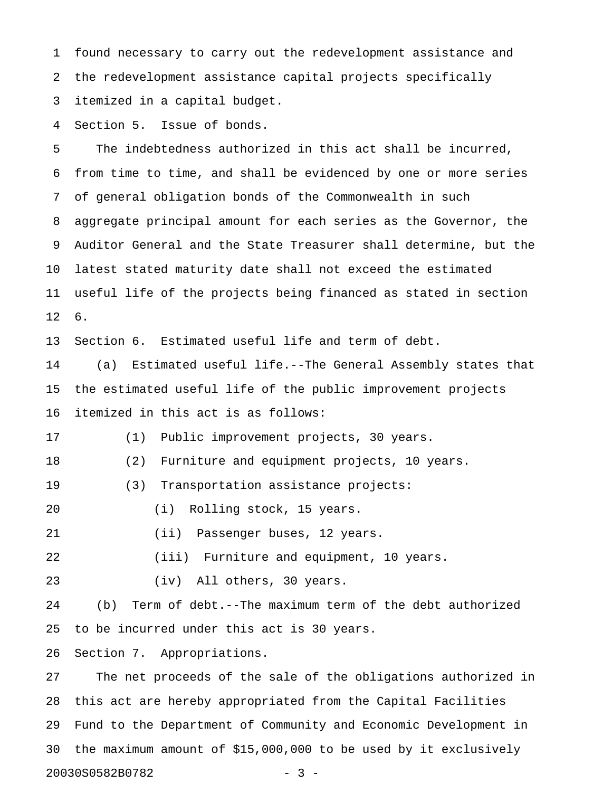1 found necessary to carry out the redevelopment assistance and 2 the redevelopment assistance capital projects specifically 3 itemized in a capital budget.

4 Section 5. Issue of bonds.

5 The indebtedness authorized in this act shall be incurred, 6 from time to time, and shall be evidenced by one or more series 7 of general obligation bonds of the Commonwealth in such 8 aggregate principal amount for each series as the Governor, the 9 Auditor General and the State Treasurer shall determine, but the 10 latest stated maturity date shall not exceed the estimated 11 useful life of the projects being financed as stated in section 12 6.

13 Section 6. Estimated useful life and term of debt.

14 (a) Estimated useful life.--The General Assembly states that 15 the estimated useful life of the public improvement projects 16 itemized in this act is as follows:

17 (1) Public improvement projects, 30 years.

18 (2) Furniture and equipment projects, 10 years.

- 19 (3) Transportation assistance projects:
- 20 (i) Rolling stock, 15 years.
- 21 (ii) Passenger buses, 12 years.

22 (iii) Furniture and equipment, 10 years.

23 (iv) All others, 30 years.

24 (b) Term of debt.--The maximum term of the debt authorized 25 to be incurred under this act is 30 years.

26 Section 7. Appropriations.

27 The net proceeds of the sale of the obligations authorized in 28 this act are hereby appropriated from the Capital Facilities 29 Fund to the Department of Community and Economic Development in 30 the maximum amount of \$15,000,000 to be used by it exclusively 20030S0582B0782 - 3 -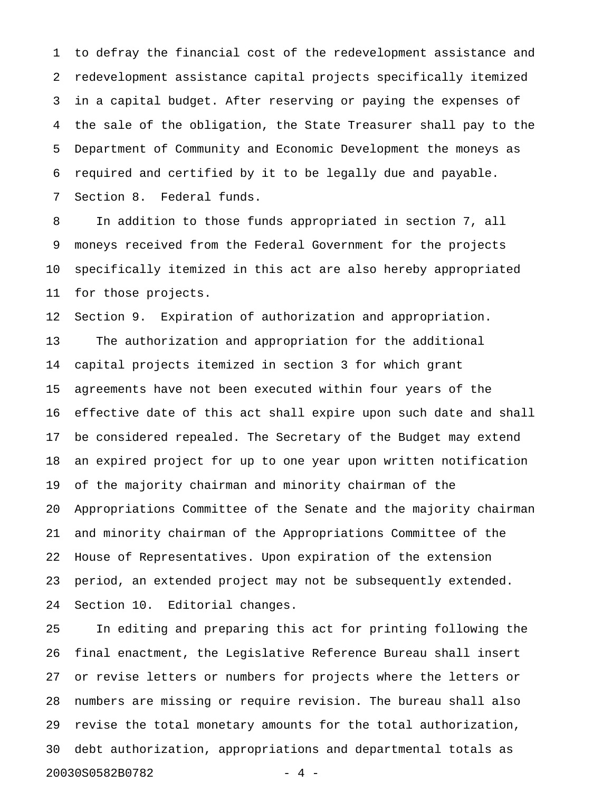1 to defray the financial cost of the redevelopment assistance and 2 redevelopment assistance capital projects specifically itemized 3 in a capital budget. After reserving or paying the expenses of 4 the sale of the obligation, the State Treasurer shall pay to the 5 Department of Community and Economic Development the moneys as 6 required and certified by it to be legally due and payable. 7 Section 8. Federal funds.

8 In addition to those funds appropriated in section 7, all 9 moneys received from the Federal Government for the projects 10 specifically itemized in this act are also hereby appropriated 11 for those projects.

12 Section 9. Expiration of authorization and appropriation. 13 The authorization and appropriation for the additional 14 capital projects itemized in section 3 for which grant 15 agreements have not been executed within four years of the 16 effective date of this act shall expire upon such date and shall 17 be considered repealed. The Secretary of the Budget may extend 18 an expired project for up to one year upon written notification 19 of the majority chairman and minority chairman of the 20 Appropriations Committee of the Senate and the majority chairman 21 and minority chairman of the Appropriations Committee of the 22 House of Representatives. Upon expiration of the extension 23 period, an extended project may not be subsequently extended. 24 Section 10. Editorial changes.

25 In editing and preparing this act for printing following the 26 final enactment, the Legislative Reference Bureau shall insert 27 or revise letters or numbers for projects where the letters or 28 numbers are missing or require revision. The bureau shall also 29 revise the total monetary amounts for the total authorization, 30 debt authorization, appropriations and departmental totals as 20030S0582B0782 - 4 -